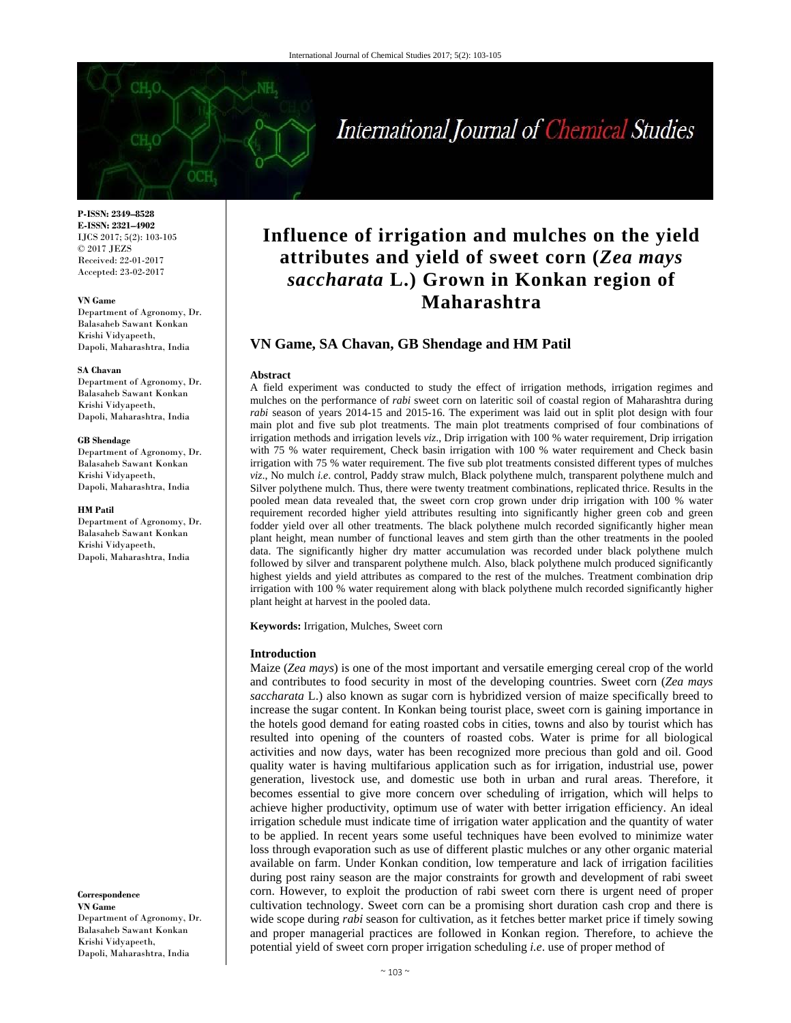# International Journal of Chemical Studies

**P-ISSN: 2349–8528 E-ISSN: 2321–4902**  IJCS 2017; 5(2): 103-105 © 2017 JEZS Received: 22-01-2017 Accepted: 23-02-2017

#### **VN Game**

Department of Agronomy, Dr. Balasaheb Sawant Konkan Krishi Vidyapeeth, Dapoli, Maharashtra, India

#### **SA Chavan**

Department of Agronomy, Dr. Balasaheb Sawant Konkan Krishi Vidyapeeth, Dapoli, Maharashtra, India

#### **GB Shendage**

Department of Agronomy, Dr. Balasaheb Sawant Konkan Krishi Vidyapeeth, Dapoli, Maharashtra, India

#### **HM Patil**

Department of Agronomy, Dr. Balasaheb Sawant Konkan Krishi Vidyapeeth, Dapoli, Maharashtra, India

**Correspondence** 

**VN Game**  Department of Agronomy, Dr. Balasaheb Sawant Konkan Krishi Vidyapeeth, Dapoli, Maharashtra, India

# **Influence of irrigation and mulches on the yield attributes and yield of sweet corn (***Zea mays saccharata* **L.) Grown in Konkan region of Maharashtra**

# **VN Game, SA Chavan, GB Shendage and HM Patil**

#### **Abstract**

A field experiment was conducted to study the effect of irrigation methods, irrigation regimes and mulches on the performance of *rabi* sweet corn on lateritic soil of coastal region of Maharashtra during *rabi* season of years 2014-15 and 2015-16. The experiment was laid out in split plot design with four main plot and five sub plot treatments. The main plot treatments comprised of four combinations of irrigation methods and irrigation levels *viz*., Drip irrigation with 100 % water requirement, Drip irrigation with 75 % water requirement, Check basin irrigation with 100 % water requirement and Check basin irrigation with 75 % water requirement. The five sub plot treatments consisted different types of mulches *viz*., No mulch *i.e*. control, Paddy straw mulch, Black polythene mulch, transparent polythene mulch and Silver polythene mulch. Thus, there were twenty treatment combinations, replicated thrice. Results in the pooled mean data revealed that, the sweet corn crop grown under drip irrigation with 100 % water requirement recorded higher yield attributes resulting into significantly higher green cob and green fodder yield over all other treatments. The black polythene mulch recorded significantly higher mean plant height, mean number of functional leaves and stem girth than the other treatments in the pooled data. The significantly higher dry matter accumulation was recorded under black polythene mulch followed by silver and transparent polythene mulch. Also, black polythene mulch produced significantly highest yields and yield attributes as compared to the rest of the mulches. Treatment combination drip irrigation with 100 % water requirement along with black polythene mulch recorded significantly higher plant height at harvest in the pooled data.

**Keywords:** Irrigation, Mulches, Sweet corn

#### **Introduction**

Maize (*Zea mays*) is one of the most important and versatile emerging cereal crop of the world and contributes to food security in most of the developing countries. Sweet corn (*Zea mays saccharata* L.) also known as sugar corn is hybridized version of maize specifically breed to increase the sugar content. In Konkan being tourist place, sweet corn is gaining importance in the hotels good demand for eating roasted cobs in cities, towns and also by tourist which has resulted into opening of the counters of roasted cobs. Water is prime for all biological activities and now days, water has been recognized more precious than gold and oil. Good quality water is having multifarious application such as for irrigation, industrial use, power generation, livestock use, and domestic use both in urban and rural areas. Therefore, it becomes essential to give more concern over scheduling of irrigation, which will helps to achieve higher productivity, optimum use of water with better irrigation efficiency. An ideal irrigation schedule must indicate time of irrigation water application and the quantity of water to be applied. In recent years some useful techniques have been evolved to minimize water loss through evaporation such as use of different plastic mulches or any other organic material available on farm. Under Konkan condition, low temperature and lack of irrigation facilities during post rainy season are the major constraints for growth and development of rabi sweet corn. However, to exploit the production of rabi sweet corn there is urgent need of proper cultivation technology. Sweet corn can be a promising short duration cash crop and there is wide scope during *rabi* season for cultivation, as it fetches better market price if timely sowing and proper managerial practices are followed in Konkan region. Therefore, to achieve the potential yield of sweet corn proper irrigation scheduling *i.e*. use of proper method of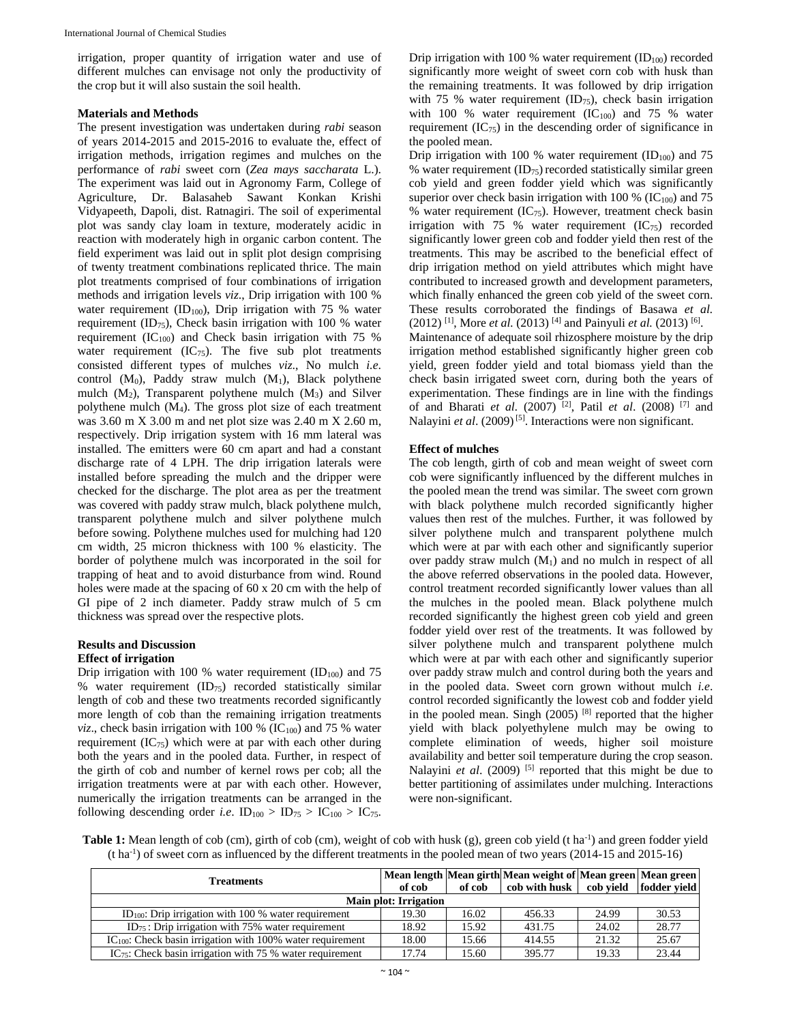irrigation, proper quantity of irrigation water and use of different mulches can envisage not only the productivity of the crop but it will also sustain the soil health.

#### **Materials and Methods**

The present investigation was undertaken during *rabi* season of years 2014-2015 and 2015-2016 to evaluate the, effect of irrigation methods, irrigation regimes and mulches on the performance of *rabi* sweet corn (*Zea mays saccharata* L.). The experiment was laid out in Agronomy Farm, College of Agriculture, Dr. Balasaheb Sawant Konkan Krishi Vidyapeeth, Dapoli, dist. Ratnagiri. The soil of experimental plot was sandy clay loam in texture, moderately acidic in reaction with moderately high in organic carbon content. The field experiment was laid out in split plot design comprising of twenty treatment combinations replicated thrice. The main plot treatments comprised of four combinations of irrigation methods and irrigation levels *viz*., Drip irrigation with 100 % water requirement  $(ID_{100})$ , Drip irrigation with 75 % water requirement  $(ID_{75})$ , Check basin irrigation with 100 % water requirement (IC<sub>100</sub>) and Check basin irrigation with 75 % water requirement  $(IC_{75})$ . The five sub plot treatments consisted different types of mulches *viz*., No mulch *i.e*. control  $(M_0)$ , Paddy straw mulch  $(M_1)$ , Black polythene mulch  $(M_2)$ , Transparent polythene mulch  $(M_3)$  and Silver polythene mulch (M4). The gross plot size of each treatment was 3.60 m X 3.00 m and net plot size was 2.40 m X 2.60 m, respectively. Drip irrigation system with 16 mm lateral was installed. The emitters were 60 cm apart and had a constant discharge rate of 4 LPH. The drip irrigation laterals were installed before spreading the mulch and the dripper were checked for the discharge. The plot area as per the treatment was covered with paddy straw mulch, black polythene mulch, transparent polythene mulch and silver polythene mulch before sowing. Polythene mulches used for mulching had 120 cm width, 25 micron thickness with 100 % elasticity. The border of polythene mulch was incorporated in the soil for trapping of heat and to avoid disturbance from wind. Round holes were made at the spacing of 60 x 20 cm with the help of GI pipe of 2 inch diameter. Paddy straw mulch of 5 cm thickness was spread over the respective plots.

# **Results and Discussion**

# **Effect of irrigation**

Drip irrigation with 100 % water requirement  $(ID<sub>100</sub>)$  and 75 % water requirement (ID75) recorded statistically similar length of cob and these two treatments recorded significantly more length of cob than the remaining irrigation treatments *viz.*, check basin irrigation with 100 % ( $IC_{100}$ ) and 75 % water requirement  $(IC_{75})$  which were at par with each other during both the years and in the pooled data. Further, in respect of the girth of cob and number of kernel rows per cob; all the irrigation treatments were at par with each other. However, numerically the irrigation treatments can be arranged in the following descending order *i.e.*  $ID_{100} > ID_{75} > IC_{100} > IC_{75}$ .

Drip irrigation with 100 % water requirement  $(ID<sub>100</sub>)$  recorded significantly more weight of sweet corn cob with husk than the remaining treatments. It was followed by drip irrigation with 75 % water requirement (ID<sub>75</sub>), check basin irrigation with 100 % water requirement  $(IC_{100})$  and 75 % water requirement  $(IC_{75})$  in the descending order of significance in the pooled mean.

Drip irrigation with 100 % water requirement  $(ID<sub>100</sub>)$  and 75 % water requirement  $(ID_{75})$  recorded statistically similar green cob yield and green fodder yield which was significantly superior over check basin irrigation with 100 % ( $IC<sub>100</sub>$ ) and 75 % water requirement  $(IC_{75})$ . However, treatment check basin irrigation with 75 % water requirement  $(IC_{75})$  recorded significantly lower green cob and fodder yield then rest of the treatments. This may be ascribed to the beneficial effect of drip irrigation method on yield attributes which might have contributed to increased growth and development parameters, which finally enhanced the green cob yield of the sweet corn. These results corroborated the findings of Basawa *et al.*  (2012) [1], More *et al.* (2013) [4] and Painyuli *et al.* (2013) [6]. Maintenance of adequate soil rhizosphere moisture by the drip irrigation method established significantly higher green cob yield, green fodder yield and total biomass yield than the check basin irrigated sweet corn, during both the years of experimentation. These findings are in line with the findings of and Bharati *et al.* (2007) [2], Patil *et al*. (2008) [7] and Nalayini *et al.* (2009)<sup>[5]</sup>. Interactions were non significant.

#### **Effect of mulches**

The cob length, girth of cob and mean weight of sweet corn cob were significantly influenced by the different mulches in the pooled mean the trend was similar. The sweet corn grown with black polythene mulch recorded significantly higher values then rest of the mulches. Further, it was followed by silver polythene mulch and transparent polythene mulch which were at par with each other and significantly superior over paddy straw mulch  $(M_1)$  and no mulch in respect of all the above referred observations in the pooled data. However, control treatment recorded significantly lower values than all the mulches in the pooled mean. Black polythene mulch recorded significantly the highest green cob yield and green fodder yield over rest of the treatments. It was followed by silver polythene mulch and transparent polythene mulch which were at par with each other and significantly superior over paddy straw mulch and control during both the years and in the pooled data. Sweet corn grown without mulch *i.e*. control recorded significantly the lowest cob and fodder yield in the pooled mean. Singh (2005)<sup>[8]</sup> reported that the higher yield with black polyethylene mulch may be owing to complete elimination of weeds, higher soil moisture availability and better soil temperature during the crop season. Nalayini *et al.* (2009)<sup>[5]</sup> reported that this might be due to better partitioning of assimilates under mulching. Interactions were non-significant.

**Table 1:** Mean length of cob (cm), girth of cob (cm), weight of cob with husk (g), green cob yield (t ha<sup>-1</sup>) and green fodder yield  $(t \, \text{ha}^{-1})$  of sweet corn as influenced by the different treatments in the pooled mean of two years (2014-15 and 2015-16)

| <b>Treatments</b>                                                   |        |        | Mean length Mean girth Mean weight of Mean green Mean green |       |       |  |  |  |
|---------------------------------------------------------------------|--------|--------|-------------------------------------------------------------|-------|-------|--|--|--|
|                                                                     | of cob | of cob | cob with husk cob vield fodder vield                        |       |       |  |  |  |
| <b>Main plot: Irrigation</b>                                        |        |        |                                                             |       |       |  |  |  |
| ID <sub>100</sub> : Drip irrigation with 100 $\%$ water requirement | 19.30  | 16.02  | 456.33                                                      | 24.99 | 30.53 |  |  |  |
| $ID_{75}$ : Drip irrigation with 75% water requirement              | 18.92  | 15.92  | 431.75                                                      | 24.02 | 28.77 |  |  |  |
| $IC100$ : Check basin irrigation with 100% water requirement        | 18.00  | 15.66  | 414.55                                                      | 21.32 | 25.67 |  |  |  |
| $IC_{75}$ : Check basin irrigation with 75 % water requirement      | 17.74  | 15.60  | 395.77                                                      | 19.33 | 23.44 |  |  |  |